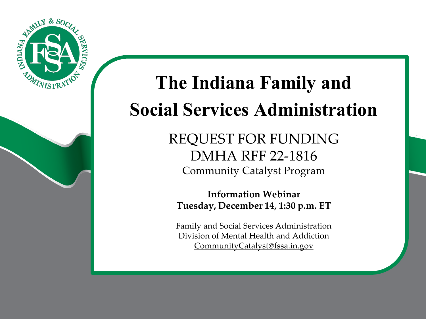

# **The Indiana Family and Social Services Administration**

REQUEST FOR FUNDING DMHA RFF 22-1816 Community Catalyst Program

**Information Webinar Tuesday, December 14, 1:30 p.m. ET**

Family and Social Services Administration Division of Mental Health and Addiction [CommunityCatalyst@fssa.in.gov](mailto:CommunityCatalyst@fssa.in.gov)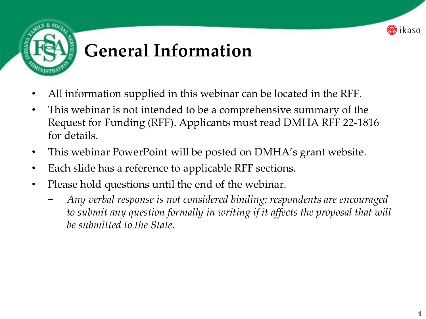

## **General Information**

- All information supplied in this webinar can be located in the RFF.
- This webinar is not intended to be a comprehensive summary of the Request for Funding (RFF). Applicants must read DMHA RFF 22-1816 for details.
- This webinar PowerPoint will be posted on DMHA's grant website.
- Each slide has a reference to applicable RFF sections.
- Please hold questions until the end of the webinar.
	- − *Any verbal response is not considered binding; respondents are encouraged to submit any question formally in writing if it affects the proposal that will be submitted to the State.*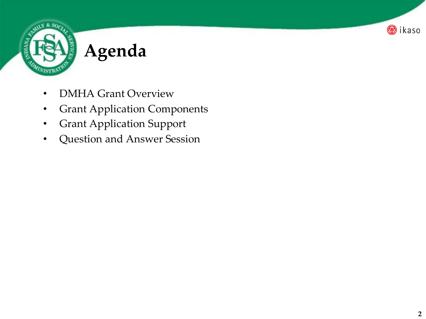

# **Agenda**

- DMHA Grant Overview
- **Grant Application Components**
- Grant Application Support
- Question and Answer Session

**B**ikaso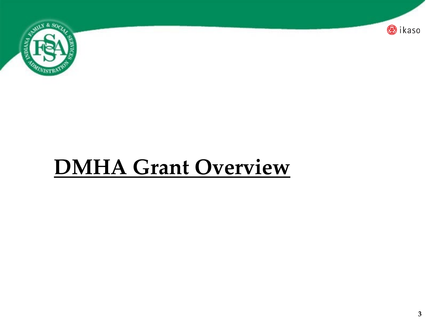

# **DMHA Grant Overview**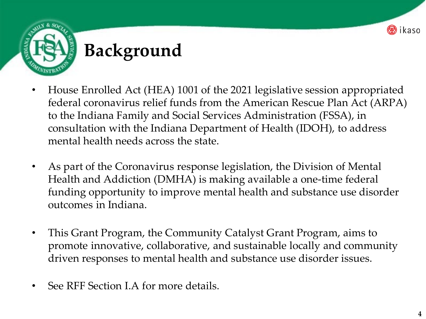



- House Enrolled Act (HEA) 1001 of the 2021 legislative session appropriated federal coronavirus relief funds from the American Rescue Plan Act (ARPA) to the Indiana Family and Social Services Administration (FSSA), in consultation with the Indiana Department of Health (IDOH), to address mental health needs across the state.
- As part of the Coronavirus response legislation, the Division of Mental Health and Addiction (DMHA) is making available a one-time federal funding opportunity to improve mental health and substance use disorder outcomes in Indiana.
- This Grant Program, the Community Catalyst Grant Program, aims to promote innovative, collaborative, and sustainable locally and community driven responses to mental health and substance use disorder issues.
- See RFF Section I.A for more details.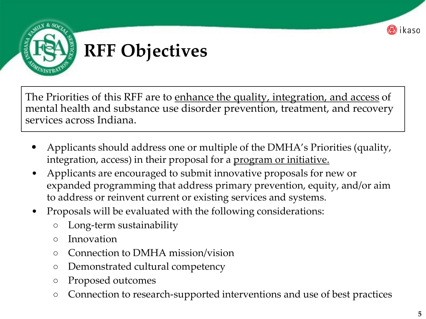



#### **RFF Objectives**

The Priorities of this RFF are to enhance the quality, integration, and access of mental health and substance use disorder prevention, treatment, and recovery services across Indiana.

- Applicants should address one or multiple of the DMHA's Priorities (quality, integration, access) in their proposal for a program or initiative.
- Applicants are encouraged to submit innovative proposals for new or expanded programming that address primary prevention, equity, and/or aim to address or reinvent current or existing services and systems.
- Proposals will be evaluated with the following considerations:
	- Long-term sustainability
	- Innovation
	- Connection to DMHA mission/vision
	- Demonstrated cultural competency
	- Proposed outcomes
	- Connection to research-supported interventions and use of best practices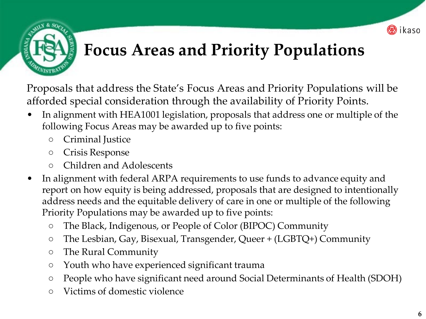

#### **Focus Areas and Priority Populations**

Proposals that address the State's Focus Areas and Priority Populations will be afforded special consideration through the availability of Priority Points.

- In alignment with HEA1001 legislation, proposals that address one or multiple of the following Focus Areas may be awarded up to five points:
	- Criminal Justice
	- Crisis Response
	- Children and Adolescents
- In alignment with federal ARPA requirements to use funds to advance equity and report on how equity is being addressed, proposals that are designed to intentionally address needs and the equitable delivery of care in one or multiple of the following Priority Populations may be awarded up to five points:
	- The Black, Indigenous, or People of Color (BIPOC) Community
	- The Lesbian, Gay, Bisexual, Transgender, Queer + (LGBTQ+) Community
	- The Rural Community
	- Youth who have experienced significant trauma
	- People who have significant need around Social Determinants of Health (SDOH)
	- Victims of domestic violence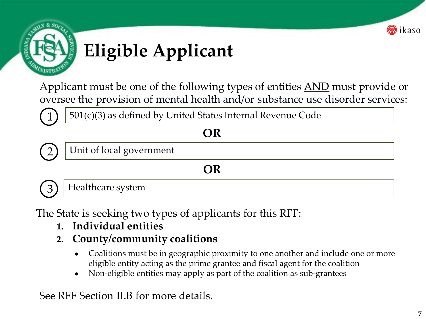



# **Eligible Applicant**

Applicant must be one of the following types of entities <u>AND</u> must provide or oversee the provision of mental health and/or substance use disorder services:



**OR**



Unit of local government

#### **OR**

3) | Healthcare system

The State is seeking two types of applicants for this RFF:

- **1. Individual entities**
- **2. County/community coalitions** 
	- Coalitions must be in geographic proximity to one another and include one or more eligible entity acting as the prime grantee and fiscal agent for the coalition
	- Non-eligible entities may apply as part of the coalition as sub-grantees

See RFF Section II.B for more details.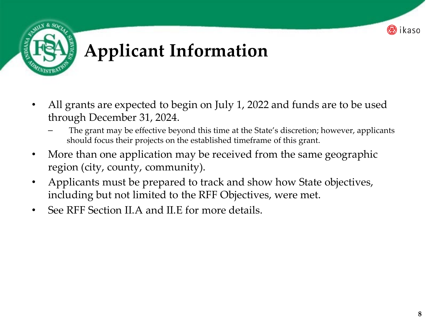



# **Applicant Information**

- All grants are expected to begin on July 1, 2022 and funds are to be used through December 31, 2024.
	- The grant may be effective beyond this time at the State's discretion; however, applicants should focus their projects on the established timeframe of this grant.
- More than one application may be received from the same geographic region (city, county, community).
- Applicants must be prepared to track and show how State objectives, including but not limited to the RFF Objectives, were met.
- See RFF Section II.A and II.E for more details.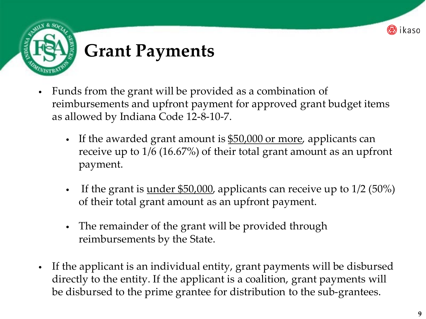

#### **Grant Payments**

- Funds from the grant will be provided as a combination of reimbursements and upfront payment for approved grant budget items as allowed by Indiana Code 12-8-10-7.
	- If the awarded grant amount is \$50,000 or more, applicants can receive up to 1/6 (16.67%) of their total grant amount as an upfront payment.
	- If the grant is  $\underline{\text{under $50,000}}$ , applicants can receive up to  $1/2$  (50%) of their total grant amount as an upfront payment.
	- The remainder of the grant will be provided through reimbursements by the State.
- If the applicant is an individual entity, grant payments will be disbursed directly to the entity. If the applicant is a coalition, grant payments will be disbursed to the prime grantee for distribution to the sub-grantees.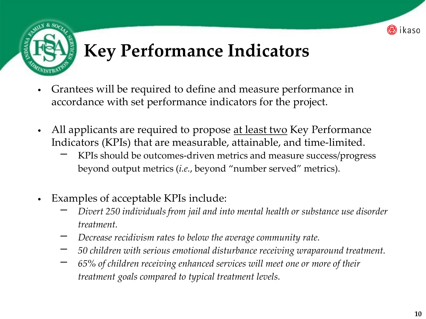

## **Key Performance Indicators**

- Grantees will be required to define and measure performance in accordance with set performance indicators for the project.
- All applicants are required to propose <u>at least two</u> Key Performance Indicators (KPIs) that are measurable, attainable, and time-limited.
	- KPIs should be outcomes-driven metrics and measure success/progress beyond output metrics (*i.e.*, beyond "number served" metrics).
- Examples of acceptable KPIs include:
	- − *Divert 250 individuals from jail and into mental health or substance use disorder treatment.*
	- − *Decrease recidivism rates to below the average community rate.*
	- − *50 children with serious emotional disturbance receiving wraparound treatment.*
	- − *65% of children receiving enhanced services will meet one or more of their treatment goals compared to typical treatment levels.*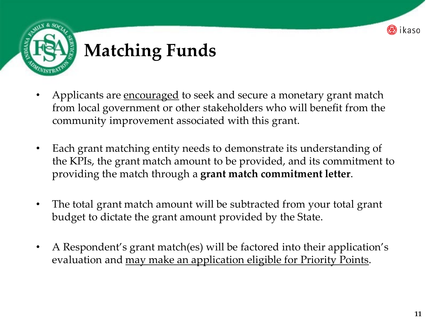



## **Matching Funds**

- Applicants are encouraged to seek and secure a monetary grant match from local government or other stakeholders who will benefit from the community improvement associated with this grant.
- Each grant matching entity needs to demonstrate its understanding of the KPIs, the grant match amount to be provided, and its commitment to providing the match through a **grant match commitment letter**.
- The total grant match amount will be subtracted from your total grant budget to dictate the grant amount provided by the State.
- A Respondent's grant match(es) will be factored into their application's evaluation and may make an application eligible for Priority Points.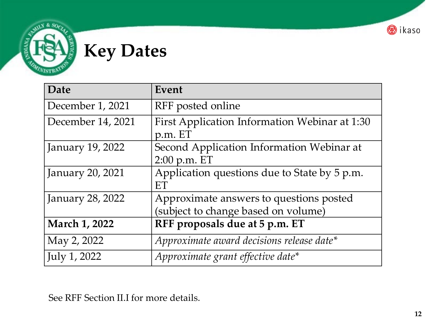

# **Key Dates**

WIST

| Date                 | Event                                                                          |  |
|----------------------|--------------------------------------------------------------------------------|--|
| December 1, 2021     | RFF posted online                                                              |  |
| December 14, 2021    | First Application Information Webinar at 1:30<br>p.m. ET                       |  |
| January 19, 2022     | Second Application Information Webinar at<br>$2:00$ p.m. ET                    |  |
| January 20, 2021     | Application questions due to State by 5 p.m.<br>ET                             |  |
| January 28, 2022     | Approximate answers to questions posted<br>(subject to change based on volume) |  |
| <b>March 1, 2022</b> | RFF proposals due at 5 p.m. ET                                                 |  |
| May 2, 2022          | Approximate award decisions release date*                                      |  |
| July 1, 2022         | Approximate grant effective date*                                              |  |

See RFF Section II.I for more details.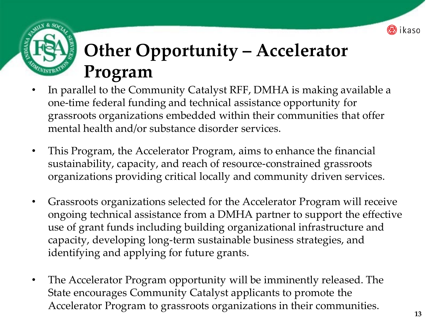

## **Other Opportunity – Accelerator Program**

- In parallel to the Community Catalyst RFF, DMHA is making available a one-time federal funding and technical assistance opportunity for grassroots organizations embedded within their communities that offer mental health and/or substance disorder services.
- This Program, the Accelerator Program, aims to enhance the financial sustainability, capacity, and reach of resource-constrained grassroots organizations providing critical locally and community driven services.
- Grassroots organizations selected for the Accelerator Program will receive ongoing technical assistance from a DMHA partner to support the effective use of grant funds including building organizational infrastructure and capacity, developing long-term sustainable business strategies, and identifying and applying for future grants.
- The Accelerator Program opportunity will be imminently released. The State encourages Community Catalyst applicants to promote the Accelerator Program to grassroots organizations in their communities.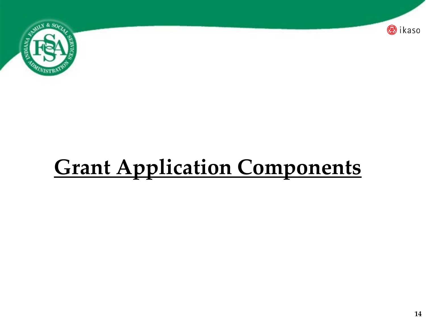

# **Grant Application Components**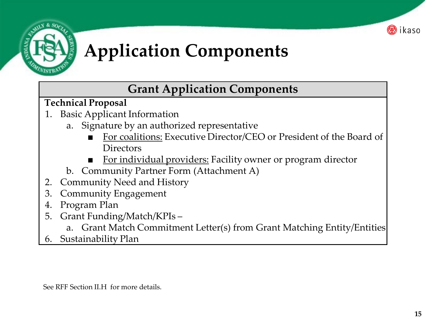



# **Application Components**

#### **Grant Application Components**

**Technical Proposal**

- 1. Basic Applicant Information
	- a. Signature by an authorized representative
		- For coalitions: Executive Director/CEO or President of the Board of **Directors**
		- For individual providers: Facility owner or program director
	- b. Community Partner Form (Attachment A)
- 2. Community Need and History
- 3. Community Engagement
- 4. Program Plan
- 5. Grant Funding/Match/KPIs
	- Grant Match Commitment Letter(s) from Grant Matching Entity/Entities
- 6. Sustainability Plan

See RFF Section II.H for more details.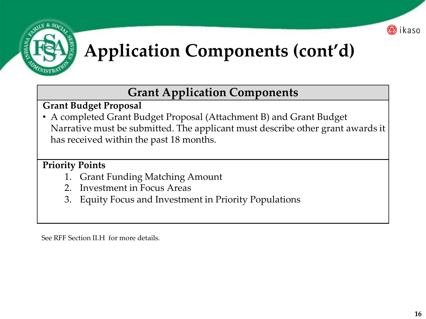



# **Application Components (cont'd)**

#### **Grant Application Components**

#### **Grant Budget Proposal**

• A completed Grant Budget Proposal (Attachment B) and Grant Budget Narrative must be submitted. The applicant must describe other grant awards it has received within the past 18 months.

#### **Priority Points**

- 1. Grant Funding Matching Amount
- 2. Investment in Focus Areas
- 3. Equity Focus and Investment in Priority Populations

See RFF Section II.H for more details.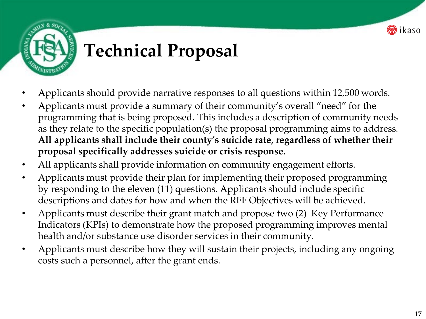

# **Technical Proposal**

- Applicants should provide narrative responses to all questions within 12,500 words.
- Applicants must provide a summary of their community's overall "need" for the programming that is being proposed. This includes a description of community needs as they relate to the specific population(s) the proposal programming aims to address. **All applicants shall include their county's suicide rate, regardless of whether their proposal specifically addresses suicide or crisis response.**
- All applicants shall provide information on community engagement efforts.
- Applicants must provide their plan for implementing their proposed programming by responding to the eleven (11) questions. Applicants should include specific descriptions and dates for how and when the RFF Objectives will be achieved.
- Applicants must describe their grant match and propose two (2) Key Performance Indicators (KPIs) to demonstrate how the proposed programming improves mental health and/or substance use disorder services in their community.
- Applicants must describe how they will sustain their projects, including any ongoing costs such a personnel, after the grant ends.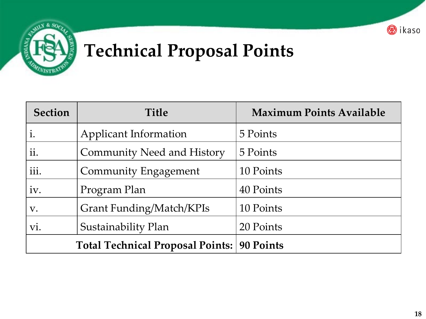



## **Technical Proposal Points**

| <b>Section</b>                          | <b>Title</b>                      | <b>Maximum Points Available</b> |
|-----------------------------------------|-----------------------------------|---------------------------------|
| i.                                      | Applicant Information             | 5 Points                        |
| ii.                                     | <b>Community Need and History</b> | 5 Points                        |
| iii.                                    | Community Engagement              | 10 Points                       |
| iv.                                     | Program Plan                      | 40 Points                       |
| V.                                      | Grant Funding/Match/KPIs          | 10 Points                       |
| VI.                                     | Sustainability Plan               | 20 Points                       |
| <b>Total Technical Proposal Points:</b> |                                   | 90 Points                       |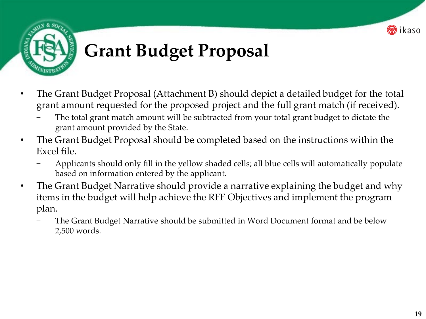



# **Grant Budget Proposal**

- The Grant Budget Proposal (Attachment B) should depict a detailed budget for the total grant amount requested for the proposed project and the full grant match (if received).
	- The total grant match amount will be subtracted from your total grant budget to dictate the grant amount provided by the State.
- The Grant Budget Proposal should be completed based on the instructions within the Excel file.
	- − Applicants should only fill in the yellow shaded cells; all blue cells will automatically populate based on information entered by the applicant.
- The Grant Budget Narrative should provide a narrative explaining the budget and why items in the budget will help achieve the RFF Objectives and implement the program plan.
	- The Grant Budget Narrative should be submitted in Word Document format and be below 2,500 words.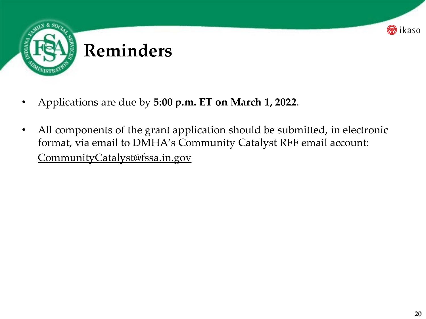

- Applications are due by **5:00 p.m. ET on March 1, 2022**.
- All components of the grant application should be submitted, in electronic format, via email to DMHA's Community Catalyst RFF email account: CommunityCatalyst@fssa.in.gov

<mark>⊛</mark>ikaso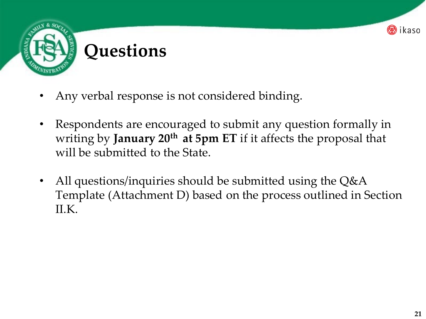

- Any verbal response is not considered binding.
- Respondents are encouraged to submit any question formally in writing by **January 20<sup>th</sup> at 5pm ET** if it affects the proposal that will be submitted to the State.
- All questions/inquiries should be submitted using the Q&A Template (Attachment D) based on the process outlined in Section II.K.

ikaso